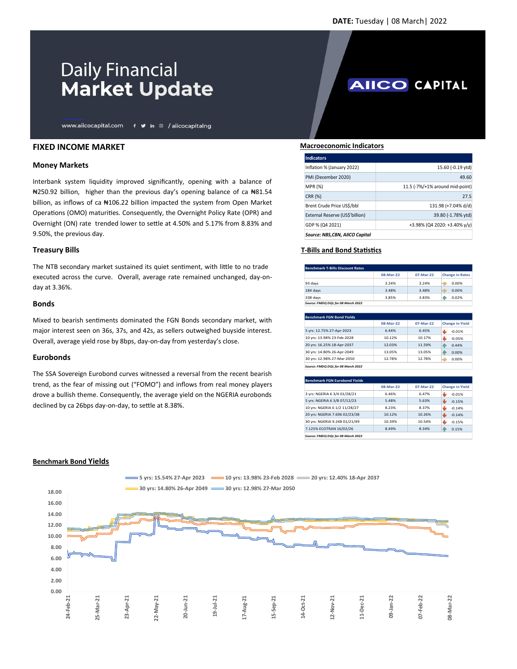**AIICO CAPITAL** 

# **Daily Financial Market Update**

www.aiicocapital.com f  $\blacktriangleright$  in  $\heartsuit$  / aiicocapitalng

# **FIXED INCOME MARKET**

### **Money Markets**

Interbank system liquidity improved significantly, opening with a balance of Net 250.92 billion, higher than the previous day's opening balance of ca Net 1.54 billion, as inflows of ca #106.22 billion impacted the system from Open Market Operations (OMO) maturities. Consequently, the Overnight Policy Rate (OPR) and Overnight (ON) rate trended lower to settle at 4.50% and 5.17% from 8.83% and 9.50%, the previous day.

## **Treasury Bills**

The NTB secondary market sustained its quiet sentiment, with little to no trade executed across the curve. Overall, average rate remained unchanged, day-onday at 3.36%.

#### **Bonds**

Mixed to bearish sentiments dominated the FGN Bonds secondary market, with major interest seen on 36s, 37s, and 42s, as sellers outweighed buyside interest. Overall, average yield rose by 8bps, day-on-day from yesterday's close.

#### **Eurobonds**

The SSA Sovereign Eurobond curves witnessed a reversal from the recent bearish trend, as the fear of missing out ("FOMO") and inflows from real money players drove a bullish theme. Consequently, the average yield on the NGERIA eurobonds declined by ca 26bps day-on-day, to settle at 8.38%.

#### **Macroeconomic Indicators**

| Indicators                      |                                 |
|---------------------------------|---------------------------------|
| Inflation % (January 2022)      | 15.60 (-0.19 ytd)               |
| PMI (December 2020)             | 49.60                           |
| <b>MPR (%)</b>                  | 11.5 (-7%/+1% around mid-point) |
| CRR (%)                         | 27.5                            |
| Brent Crude Price US\$/bbl      | 131.98 (+7.04% d/d)             |
| External Reserve (US\$'billion) | 39.80 (-1.78% ytd)              |
| GDP % (Q4 2021)                 | +3.98% (Q4 2020: +3.40% y/y)    |
| Source: NBS,CBN, AIICO Capital  |                                 |

# **T-Bills and Bond Statistics**

| <b>Benchmark T-Bills Discount Rates</b> |           |           |                        |
|-----------------------------------------|-----------|-----------|------------------------|
|                                         | 08-Mar-22 | 07-Mar-22 | <b>Change in Rates</b> |
| 93 days                                 | 3.24%     | 3.24%     | e)<br>0.00%            |
| 184 days                                | 3.48%     | 3.48%     | 0.00%<br>e             |
| 338 days                                | 3.85%     | 3.83%     | 0.02%<br>ЯΝ            |
| Source: FMDO DOL for 08 March 2022      |           |           |                        |

|                            | 08-Mar-22 | 07-Mar-22 | <b>Change in Yield</b> |
|----------------------------|-----------|-----------|------------------------|
| 5 yrs: 12.75% 27-Apr-2023  | 6.44%     | 6.45%     | بال<br>$-0.01%$        |
| 10 yrs: 13.98% 23-Feb-2028 | 10.12%    | 10.17%    | طاه<br>$-0.05%$        |
| 20 yrs: 16.25% 18-Apr-2037 | 12.03%    | 11.59%    | 0.44%<br>ИÑ            |
| 30 vrs: 14.80% 26-Apr-2049 | 13.05%    | 13.05%    | ИÑ<br>0.00%            |
| 30 vrs: 12.98% 27-Mar-2050 | 12.78%    | 12.78%    | ⇛<br>0.00%             |

| <b>Benchmark FGN Eurobond Yields</b> |           |           |                        |
|--------------------------------------|-----------|-----------|------------------------|
|                                      | 08-Mar-22 | 07-Mar-22 | <b>Change in Yield</b> |
| 3 yrs: NGERIA 6 3/4 01/28/21         | 6.46%     | 6.47%     | ىلل<br>$-0.01%$        |
| 5 yrs: NGERIA 6 3/8 07/12/23         | 5.48%     | 5.63%     | والح<br>$-0.15%$       |
| 10 yrs: NGERIA 6 1/2 11/28/27        | 8.23%     | 8.37%     | تالى<br>$-0.14%$       |
| 20 vrs: NGERIA 7.696 02/23/38        | 10.12%    | 10.26%    | تالى<br>$-0.14%$       |
| 30 vrs: NGERIA 9.248 01/21/49        | 10.39%    | 10.54%    | تالى<br>$-0.15%$       |
| 7.125% ECOTRAN 16/02/26              | 8.49%     | 8.34%     | 0.15%<br>ИN            |
| Source: FMDO DOL for 08 March 2022   |           |           |                        |





## **Benchmark Bond Yields**